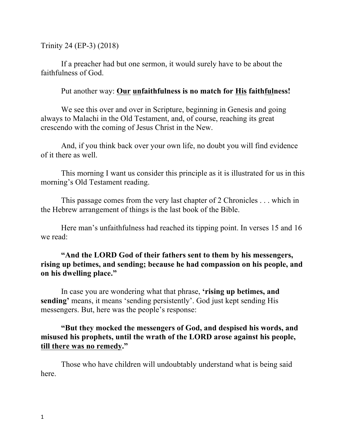Trinity 24 (EP-3) (2018)

If a preacher had but one sermon, it would surely have to be about the faithfulness of God.

## Put another way: **Our unfaithfulness is no match for His faithfulness!**

We see this over and over in Scripture, beginning in Genesis and going always to Malachi in the Old Testament, and, of course, reaching its great crescendo with the coming of Jesus Christ in the New.

And, if you think back over your own life, no doubt you will find evidence of it there as well.

This morning I want us consider this principle as it is illustrated for us in this morning's Old Testament reading.

This passage comes from the very last chapter of 2 Chronicles . . . which in the Hebrew arrangement of things is the last book of the Bible.

Here man's unfaithfulness had reached its tipping point. In verses 15 and 16 we read:

## **"And the LORD God of their fathers sent to them by his messengers, rising up betimes, and sending; because he had compassion on his people, and on his dwelling place."**

In case you are wondering what that phrase, **'rising up betimes, and sending'** means, it means 'sending persistently'. God just kept sending His messengers. But, here was the people's response:

## **"But they mocked the messengers of God, and despised his words, and misused his prophets, until the wrath of the LORD arose against his people, till there was no remedy."**

Those who have children will undoubtably understand what is being said here.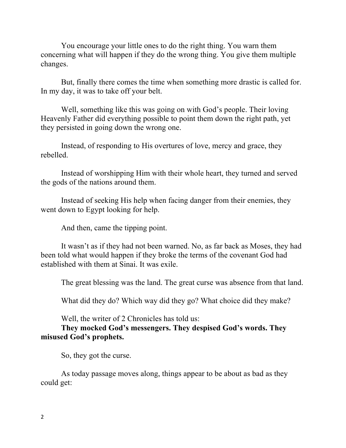You encourage your little ones to do the right thing. You warn them concerning what will happen if they do the wrong thing. You give them multiple changes.

But, finally there comes the time when something more drastic is called for. In my day, it was to take off your belt.

Well, something like this was going on with God's people. Their loving Heavenly Father did everything possible to point them down the right path, yet they persisted in going down the wrong one.

Instead, of responding to His overtures of love, mercy and grace, they rebelled.

Instead of worshipping Him with their whole heart, they turned and served the gods of the nations around them.

Instead of seeking His help when facing danger from their enemies, they went down to Egypt looking for help.

And then, came the tipping point.

It wasn't as if they had not been warned. No, as far back as Moses, they had been told what would happen if they broke the terms of the covenant God had established with them at Sinai. It was exile.

The great blessing was the land. The great curse was absence from that land.

What did they do? Which way did they go? What choice did they make?

Well, the writer of 2 Chronicles has told us:

**They mocked God's messengers. They despised God's words. They misused God's prophets.**

So, they got the curse.

As today passage moves along, things appear to be about as bad as they could get: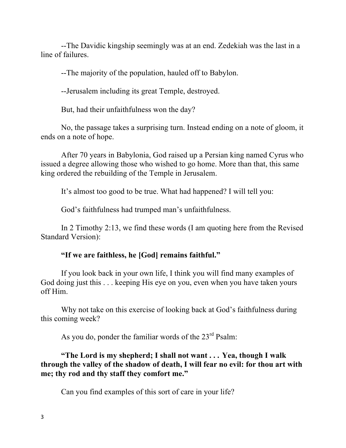--The Davidic kingship seemingly was at an end. Zedekiah was the last in a line of failures.

--The majority of the population, hauled off to Babylon.

--Jerusalem including its great Temple, destroyed.

But, had their unfaithfulness won the day?

No, the passage takes a surprising turn. Instead ending on a note of gloom, it ends on a note of hope.

After 70 years in Babylonia, God raised up a Persian king named Cyrus who issued a degree allowing those who wished to go home. More than that, this same king ordered the rebuilding of the Temple in Jerusalem.

It's almost too good to be true. What had happened? I will tell you:

God's faithfulness had trumped man's unfaithfulness.

In 2 Timothy 2:13, we find these words (I am quoting here from the Revised Standard Version):

### **"If we are faithless, he [God] remains faithful."**

If you look back in your own life, I think you will find many examples of God doing just this . . . keeping His eye on you, even when you have taken yours off Him.

Why not take on this exercise of looking back at God's faithfulness during this coming week?

As you do, ponder the familiar words of the  $23<sup>rd</sup>$  Psalm:

**"The Lord is my shepherd; I shall not want . . . Yea, though I walk through the valley of the shadow of death, I will fear no evil: for thou art with me; thy rod and thy staff they comfort me."**

Can you find examples of this sort of care in your life?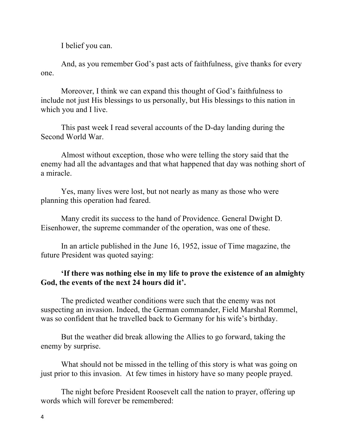I belief you can.

And, as you remember God's past acts of faithfulness, give thanks for every one.

Moreover, I think we can expand this thought of God's faithfulness to include not just His blessings to us personally, but His blessings to this nation in which you and I live.

This past week I read several accounts of the D-day landing during the Second World War.

Almost without exception, those who were telling the story said that the enemy had all the advantages and that what happened that day was nothing short of a miracle.

Yes, many lives were lost, but not nearly as many as those who were planning this operation had feared.

Many credit its success to the hand of Providence. General Dwight D. Eisenhower, the supreme commander of the operation, was one of these.

In an article published in the June 16, 1952, issue of Time magazine, the future President was quoted saying:

# **'If there was nothing else in my life to prove the existence of an almighty God, the events of the next 24 hours did it'.**

The predicted weather conditions were such that the enemy was not suspecting an invasion. Indeed, the German commander, Field Marshal Rommel, was so confident that he travelled back to Germany for his wife's birthday.

But the weather did break allowing the Allies to go forward, taking the enemy by surprise.

What should not be missed in the telling of this story is what was going on just prior to this invasion. At few times in history have so many people prayed.

The night before President Roosevelt call the nation to prayer, offering up words which will forever be remembered: